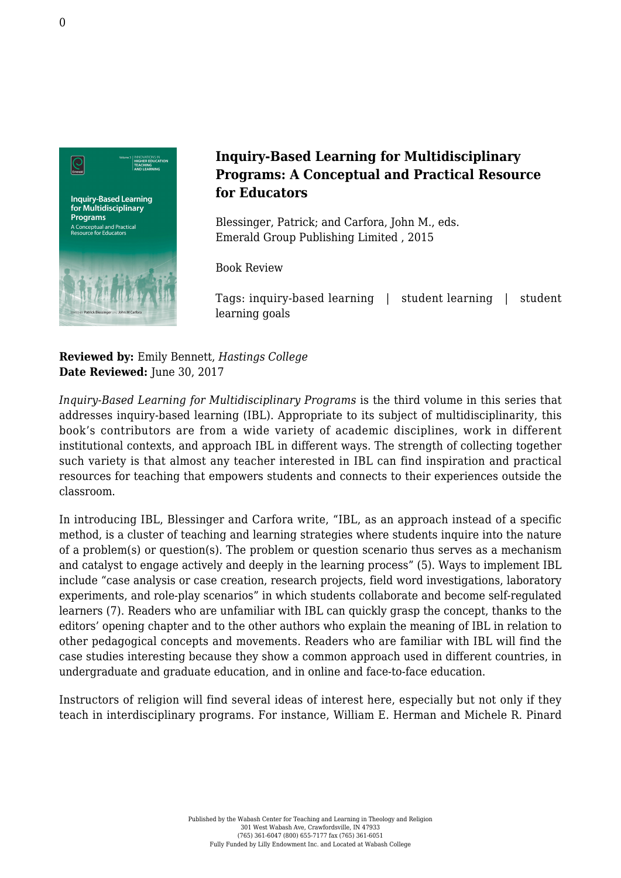

## **Inquiry-Based Learning for Multidisciplinary Programs: A Conceptual and Practical Resource for Educators**

Blessinger, Patrick; and Carfora, John M., eds. [Emerald Group Publishing Limited , 2015](http://www.emeraldinsight.com/doi/book/10.1108/S2055-364120153)

Book Review

Tags: inquiry-based learning | student learning | student learning goals

**Reviewed by:** Emily Bennett, *Hastings College* Date Reviewed: June 30, 2017

*Inquiry-Based Learning for Multidisciplinary Programs* is the third volume in this series that addresses inquiry-based learning (IBL). Appropriate to its subject of multidisciplinarity, this book's contributors are from a wide variety of academic disciplines, work in different institutional contexts, and approach IBL in different ways. The strength of collecting together such variety is that almost any teacher interested in IBL can find inspiration and practical resources for teaching that empowers students and connects to their experiences outside the classroom.

In introducing IBL, Blessinger and Carfora write, "IBL, as an approach instead of a specific method, is a cluster of teaching and learning strategies where students inquire into the nature of a problem(s) or question(s). The problem or question scenario thus serves as a mechanism and catalyst to engage actively and deeply in the learning process" (5). Ways to implement IBL include "case analysis or case creation, research projects, field word investigations, laboratory experiments, and role-play scenarios" in which students collaborate and become self-regulated learners (7). Readers who are unfamiliar with IBL can quickly grasp the concept, thanks to the editors' opening chapter and to the other authors who explain the meaning of IBL in relation to other pedagogical concepts and movements. Readers who are familiar with IBL will find the case studies interesting because they show a common approach used in different countries, in undergraduate and graduate education, and in online and face-to-face education.

Instructors of religion will find several ideas of interest here, especially but not only if they teach in interdisciplinary programs. For instance, William E. Herman and Michele R. Pinard